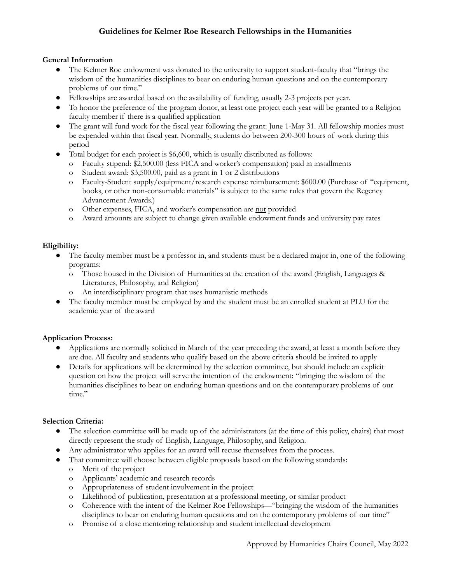# **Guidelines for Kelmer Roe Research Fellowships in the Humanities**

## **General Information**

- **●** The Kelmer Roe endowment was donated to the university to support student-faculty that "brings the wisdom of the humanities disciplines to bear on enduring human questions and on the contemporary problems of our time."
- **●** Fellowships are awarded based on the availability of funding, usually 2-3 projects per year.
- **●** To honor the preference of the program donor, at least one project each year will be granted to a Religion faculty member if there is a qualified application
- **●** The grant will fund work for the fiscal year following the grant: June 1-May 31. All fellowship monies must be expended within that fiscal year. Normally, students do between 200-300 hours of work during this period
- Total budget for each project is \$6,600, which is usually distributed as follows:
	- o Faculty stipend: \$2,500.00 (less FICA and worker's compensation) paid in installments
	- o Student award: \$3,500.00, paid as a grant in 1 or 2 distributions
	- o Faculty-Student supply/equipment/research expense reimbursement: \$600.00 (Purchase of "equipment, books, or other non-consumable materials" is subject to the same rules that govern the Regency Advancement Awards.)
	- o Other expenses, FICA, and worker's compensation are not provided
	- o Award amounts are subject to change given available endowment funds and university pay rates

## **Eligibility:**

- The faculty member must be a professor in, and students must be a declared major in, one of the following programs:
	- o Those housed in the Division of Humanities at the creation of the award (English, Languages & Literatures, Philosophy, and Religion)
	- o An interdisciplinary program that uses humanistic methods
- **●** The faculty member must be employed by and the student must be an enrolled student at PLU for the academic year of the award

## **Application Process:**

- Applications are normally solicited in March of the year preceding the award, at least a month before they are due. All faculty and students who qualify based on the above criteria should be invited to apply
- Details for applications will be determined by the selection committee, but should include an explicit question on how the project will serve the intention of the endowment: "bringing the wisdom of the humanities disciplines to bear on enduring human questions and on the contemporary problems of our time."

#### **Selection Criteria:**

- The selection committee will be made up of the administrators (at the time of this policy, chairs) that most directly represent the study of English, Language, Philosophy, and Religion.
- Any administrator who applies for an award will recuse themselves from the process.
- That committee will choose between eligible proposals based on the following standards:
	- o Merit of the project
	- o Applicants' academic and research records
	- o Appropriateness of student involvement in the project
	- o Likelihood of publication, presentation at a professional meeting, or similar product
	- o Coherence with the intent of the Kelmer Roe Fellowships—"bringing the wisdom of the humanities disciplines to bear on enduring human questions and on the contemporary problems of our time"
	- o Promise of a close mentoring relationship and student intellectual development